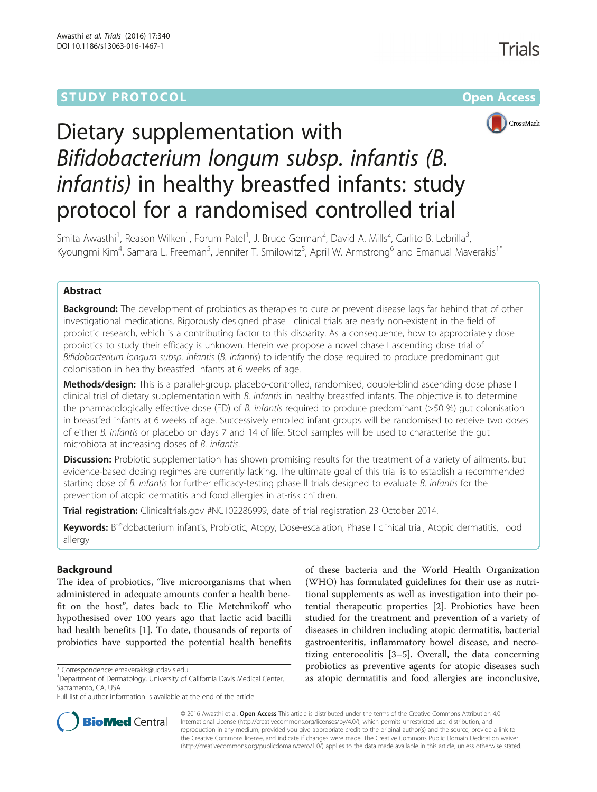## **STUDY PROTOCOL CONSUMING THE RESERVE ACCESS**



# Dietary supplementation with Bifidobacterium longum subsp. infantis (B. infantis) in healthy breastfed infants: study protocol for a randomised controlled trial

Smita Awasthi<sup>1</sup>, Reason Wilken<sup>1</sup>, Forum Patel<sup>1</sup>, J. Bruce German<sup>2</sup>, David A. Mills<sup>2</sup>, Carlito B. Lebrilla<sup>3</sup> , Kyoungmi Kim<sup>4</sup>, Samara L. Freeman<sup>5</sup>, Jennifer T. Smilowitz<sup>5</sup>, April W. Armstrong<sup>6</sup> and Emanual Maverakis<sup>1\*</sup>

## Abstract

**Background:** The development of probiotics as therapies to cure or prevent disease lags far behind that of other investigational medications. Rigorously designed phase I clinical trials are nearly non-existent in the field of probiotic research, which is a contributing factor to this disparity. As a consequence, how to appropriately dose probiotics to study their efficacy is unknown. Herein we propose a novel phase I ascending dose trial of Bifidobacterium longum subsp. infantis (B. infantis) to identify the dose required to produce predominant qut colonisation in healthy breastfed infants at 6 weeks of age.

Methods/design: This is a parallel-group, placebo-controlled, randomised, double-blind ascending dose phase I clinical trial of dietary supplementation with  $B$ . infantis in healthy breastfed infants. The objective is to determine the pharmacologically effective dose (ED) of B. infantis required to produce predominant ( $>50\%$ ) gut colonisation in breastfed infants at 6 weeks of age. Successively enrolled infant groups will be randomised to receive two doses of either B. infantis or placebo on days 7 and 14 of life. Stool samples will be used to characterise the gut microbiota at increasing doses of B. infantis.

Discussion: Probiotic supplementation has shown promising results for the treatment of a variety of ailments, but evidence-based dosing regimes are currently lacking. The ultimate goal of this trial is to establish a recommended starting dose of B. infantis for further efficacy-testing phase II trials designed to evaluate B. infantis for the prevention of atopic dermatitis and food allergies in at-risk children.

Trial registration: Clinicaltrials.gov [#NCT02286999](https://clinicaltrials.gov), date of trial registration 23 October 2014.

Keywords: Bifidobacterium infantis, Probiotic, Atopy, Dose-escalation, Phase I clinical trial, Atopic dermatitis, Food allergy

## Background

The idea of probiotics, "live microorganisms that when administered in adequate amounts confer a health benefit on the host", dates back to Elie Metchnikoff who hypothesised over 100 years ago that lactic acid bacilli had health benefits [\[1\]](#page-9-0). To date, thousands of reports of probiotics have supported the potential health benefits

of these bacteria and the World Health Organization (WHO) has formulated guidelines for their use as nutritional supplements as well as investigation into their potential therapeutic properties [\[2](#page-9-0)]. Probiotics have been studied for the treatment and prevention of a variety of diseases in children including atopic dermatitis, bacterial gastroenteritis, inflammatory bowel disease, and necrotizing enterocolitis [[3](#page-9-0)–[5](#page-9-0)]. Overall, the data concerning probiotics as preventive agents for atopic diseases such as atopic dermatitis and food allergies are inconclusive,



© 2016 Awasthi et al. Open Access This article is distributed under the terms of the Creative Commons Attribution 4.0 International License [\(http://creativecommons.org/licenses/by/4.0/](http://creativecommons.org/licenses/by/4.0/)), which permits unrestricted use, distribution, and reproduction in any medium, provided you give appropriate credit to the original author(s) and the source, provide a link to the Creative Commons license, and indicate if changes were made. The Creative Commons Public Domain Dedication waiver [\(http://creativecommons.org/publicdomain/zero/1.0/](http://creativecommons.org/publicdomain/zero/1.0/)) applies to the data made available in this article, unless otherwise stated.

<sup>\*</sup> Correspondence: [emaverakis@ucdavis.edu](mailto:emaverakis@ucdavis.edu) <sup>1</sup>

Department of Dermatology, University of California Davis Medical Center, Sacramento, CA, USA

Full list of author information is available at the end of the article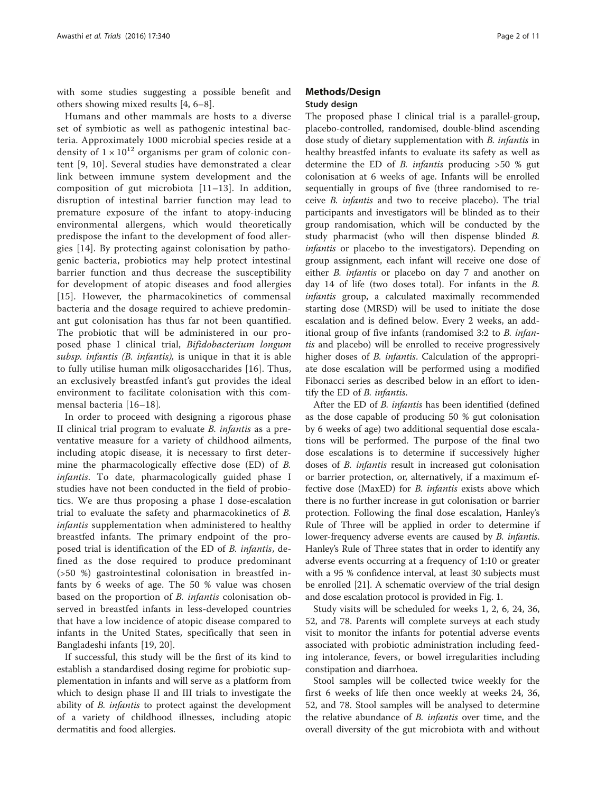with some studies suggesting a possible benefit and others showing mixed results [[4, 6](#page-9-0)–[8\]](#page-9-0).

Humans and other mammals are hosts to a diverse set of symbiotic as well as pathogenic intestinal bacteria. Approximately 1000 microbial species reside at a density of  $1 \times 10^{12}$  organisms per gram of colonic content [[9, 10\]](#page-9-0). Several studies have demonstrated a clear link between immune system development and the composition of gut microbiota [[11](#page-9-0)–[13](#page-9-0)]. In addition, disruption of intestinal barrier function may lead to premature exposure of the infant to atopy-inducing environmental allergens, which would theoretically predispose the infant to the development of food allergies [[14](#page-9-0)]. By protecting against colonisation by pathogenic bacteria, probiotics may help protect intestinal barrier function and thus decrease the susceptibility for development of atopic diseases and food allergies [[15](#page-10-0)]. However, the pharmacokinetics of commensal bacteria and the dosage required to achieve predominant gut colonisation has thus far not been quantified. The probiotic that will be administered in our proposed phase I clinical trial, Bifidobacterium longum subsp. infantis (B. infantis), is unique in that it is able to fully utilise human milk oligosaccharides [[16](#page-10-0)]. Thus, an exclusively breastfed infant's gut provides the ideal environment to facilitate colonisation with this commensal bacteria [[16](#page-10-0)–[18](#page-10-0)].

In order to proceed with designing a rigorous phase II clinical trial program to evaluate B. infantis as a preventative measure for a variety of childhood ailments, including atopic disease, it is necessary to first determine the pharmacologically effective dose (ED) of B. infantis. To date, pharmacologically guided phase I studies have not been conducted in the field of probiotics. We are thus proposing a phase I dose-escalation trial to evaluate the safety and pharmacokinetics of B. infantis supplementation when administered to healthy breastfed infants. The primary endpoint of the proposed trial is identification of the ED of B. infantis, defined as the dose required to produce predominant (>50 %) gastrointestinal colonisation in breastfed infants by 6 weeks of age. The 50 % value was chosen based on the proportion of B. infantis colonisation observed in breastfed infants in less-developed countries that have a low incidence of atopic disease compared to infants in the United States, specifically that seen in Bangladeshi infants [[19, 20](#page-10-0)].

If successful, this study will be the first of its kind to establish a standardised dosing regime for probiotic supplementation in infants and will serve as a platform from which to design phase II and III trials to investigate the ability of *B. infantis* to protect against the development of a variety of childhood illnesses, including atopic dermatitis and food allergies.

## Methods/Design Study design

The proposed phase I clinical trial is a parallel-group, placebo-controlled, randomised, double-blind ascending dose study of dietary supplementation with B. infantis in healthy breastfed infants to evaluate its safety as well as determine the ED of B. infantis producing >50 % gut colonisation at 6 weeks of age. Infants will be enrolled sequentially in groups of five (three randomised to receive B. infantis and two to receive placebo). The trial participants and investigators will be blinded as to their group randomisation, which will be conducted by the study pharmacist (who will then dispense blinded B. infantis or placebo to the investigators). Depending on group assignment, each infant will receive one dose of either B. infantis or placebo on day 7 and another on day 14 of life (two doses total). For infants in the B. infantis group, a calculated maximally recommended starting dose (MRSD) will be used to initiate the dose escalation and is defined below. Every 2 weeks, an additional group of five infants (randomised 3:2 to B. infantis and placebo) will be enrolled to receive progressively higher doses of *B. infantis*. Calculation of the appropriate dose escalation will be performed using a modified Fibonacci series as described below in an effort to identify the ED of B. infantis.

After the ED of B. infantis has been identified (defined as the dose capable of producing 50 % gut colonisation by 6 weeks of age) two additional sequential dose escalations will be performed. The purpose of the final two dose escalations is to determine if successively higher doses of B. infantis result in increased gut colonisation or barrier protection, or, alternatively, if a maximum effective dose (MaxED) for B. infantis exists above which there is no further increase in gut colonisation or barrier protection. Following the final dose escalation, Hanley's Rule of Three will be applied in order to determine if lower-frequency adverse events are caused by B. infantis. Hanley's Rule of Three states that in order to identify any adverse events occurring at a frequency of 1:10 or greater with a 95 % confidence interval, at least 30 subjects must be enrolled [\[21](#page-10-0)]. A schematic overview of the trial design and dose escalation protocol is provided in Fig. [1.](#page-2-0)

Study visits will be scheduled for weeks 1, 2, 6, 24, 36, 52, and 78. Parents will complete surveys at each study visit to monitor the infants for potential adverse events associated with probiotic administration including feeding intolerance, fevers, or bowel irregularities including constipation and diarrhoea.

Stool samples will be collected twice weekly for the first 6 weeks of life then once weekly at weeks 24, 36, 52, and 78. Stool samples will be analysed to determine the relative abundance of B. infantis over time, and the overall diversity of the gut microbiota with and without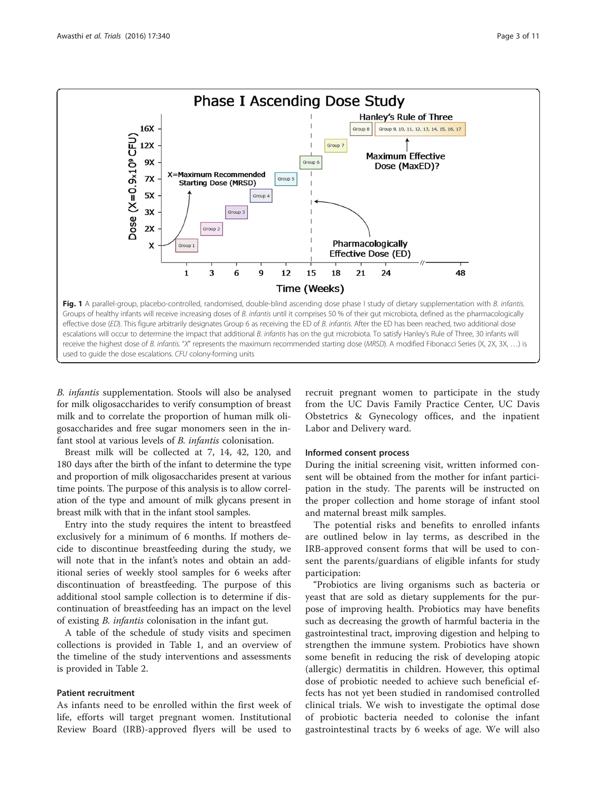<span id="page-2-0"></span>

B. infantis supplementation. Stools will also be analysed for milk oligosaccharides to verify consumption of breast milk and to correlate the proportion of human milk oligosaccharides and free sugar monomers seen in the infant stool at various levels of B. infantis colonisation.

Breast milk will be collected at 7, 14, 42, 120, and 180 days after the birth of the infant to determine the type and proportion of milk oligosaccharides present at various time points. The purpose of this analysis is to allow correlation of the type and amount of milk glycans present in breast milk with that in the infant stool samples.

Entry into the study requires the intent to breastfeed exclusively for a minimum of 6 months. If mothers decide to discontinue breastfeeding during the study, we will note that in the infant's notes and obtain an additional series of weekly stool samples for 6 weeks after discontinuation of breastfeeding. The purpose of this additional stool sample collection is to determine if discontinuation of breastfeeding has an impact on the level of existing B. infantis colonisation in the infant gut.

A table of the schedule of study visits and specimen collections is provided in Table [1,](#page-3-0) and an overview of the timeline of the study interventions and assessments is provided in Table [2.](#page-4-0)

#### Patient recruitment

As infants need to be enrolled within the first week of life, efforts will target pregnant women. Institutional Review Board (IRB)-approved flyers will be used to

recruit pregnant women to participate in the study from the UC Davis Family Practice Center, UC Davis Obstetrics & Gynecology offices, and the inpatient Labor and Delivery ward.

#### Informed consent process

During the initial screening visit, written informed consent will be obtained from the mother for infant participation in the study. The parents will be instructed on the proper collection and home storage of infant stool and maternal breast milk samples.

The potential risks and benefits to enrolled infants are outlined below in lay terms, as described in the IRB-approved consent forms that will be used to consent the parents/guardians of eligible infants for study participation:

"Probiotics are living organisms such as bacteria or yeast that are sold as dietary supplements for the purpose of improving health. Probiotics may have benefits such as decreasing the growth of harmful bacteria in the gastrointestinal tract, improving digestion and helping to strengthen the immune system. Probiotics have shown some benefit in reducing the risk of developing atopic (allergic) dermatitis in children. However, this optimal dose of probiotic needed to achieve such beneficial effects has not yet been studied in randomised controlled clinical trials. We wish to investigate the optimal dose of probiotic bacteria needed to colonise the infant gastrointestinal tracts by 6 weeks of age. We will also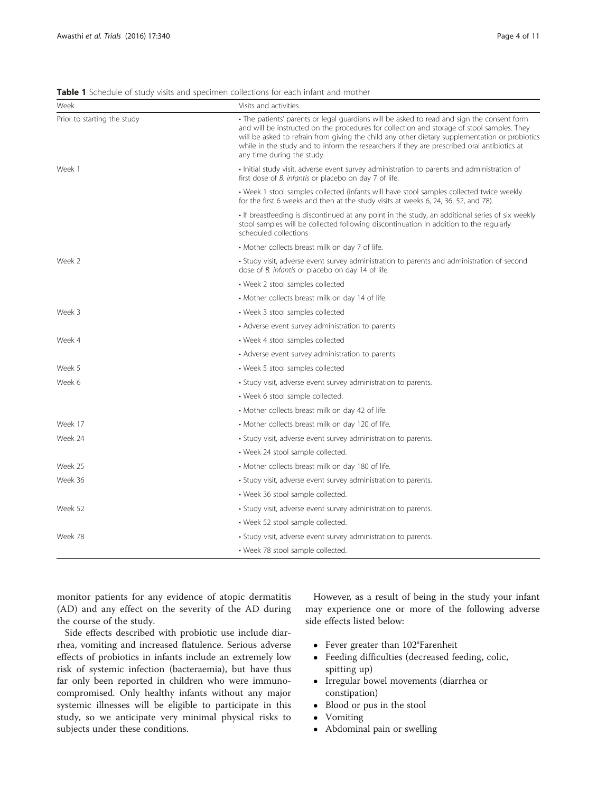<span id="page-3-0"></span>

| Week                        | Visits and activities                                                                                                                                                                                                                                                                                                                                                                                                   |
|-----------------------------|-------------------------------------------------------------------------------------------------------------------------------------------------------------------------------------------------------------------------------------------------------------------------------------------------------------------------------------------------------------------------------------------------------------------------|
| Prior to starting the study | • The patients' parents or legal guardians will be asked to read and sign the consent form<br>and will be instructed on the procedures for collection and storage of stool samples. They<br>will be asked to refrain from giving the child any other dietary supplementation or probiotics<br>while in the study and to inform the researchers if they are prescribed oral antibiotics at<br>any time during the study. |
| Week 1                      | · Initial study visit, adverse event survey administration to parents and administration of<br>first dose of B. infantis or placebo on day 7 of life.                                                                                                                                                                                                                                                                   |
|                             | • Week 1 stool samples collected (infants will have stool samples collected twice weekly<br>for the first 6 weeks and then at the study visits at weeks 6, 24, 36, 52, and 78).                                                                                                                                                                                                                                         |
|                             | If breastfeeding is discontinued at any point in the study, an additional series of six weekly<br>stool samples will be collected following discontinuation in addition to the regularly<br>scheduled collections                                                                                                                                                                                                       |
|                             | • Mother collects breast milk on day 7 of life.                                                                                                                                                                                                                                                                                                                                                                         |
| Week 2                      | • Study visit, adverse event survey administration to parents and administration of second<br>dose of B. infantis or placebo on day 14 of life.                                                                                                                                                                                                                                                                         |
|                             | • Week 2 stool samples collected                                                                                                                                                                                                                                                                                                                                                                                        |
|                             | · Mother collects breast milk on day 14 of life.                                                                                                                                                                                                                                                                                                                                                                        |
| Week 3                      | • Week 3 stool samples collected                                                                                                                                                                                                                                                                                                                                                                                        |
|                             | • Adverse event survey administration to parents                                                                                                                                                                                                                                                                                                                                                                        |
| Week 4                      | • Week 4 stool samples collected                                                                                                                                                                                                                                                                                                                                                                                        |
|                             | • Adverse event survey administration to parents                                                                                                                                                                                                                                                                                                                                                                        |
| Week 5                      | • Week 5 stool samples collected                                                                                                                                                                                                                                                                                                                                                                                        |
| Week 6                      | • Study visit, adverse event survey administration to parents.                                                                                                                                                                                                                                                                                                                                                          |
|                             | • Week 6 stool sample collected.                                                                                                                                                                                                                                                                                                                                                                                        |
|                             | • Mother collects breast milk on day 42 of life.                                                                                                                                                                                                                                                                                                                                                                        |
| Week 17                     | · Mother collects breast milk on day 120 of life.                                                                                                                                                                                                                                                                                                                                                                       |
| Week 24                     | · Study visit, adverse event survey administration to parents.                                                                                                                                                                                                                                                                                                                                                          |
|                             | • Week 24 stool sample collected.                                                                                                                                                                                                                                                                                                                                                                                       |
| Week 25                     | • Mother collects breast milk on day 180 of life.                                                                                                                                                                                                                                                                                                                                                                       |
| Week 36                     | • Study visit, adverse event survey administration to parents.                                                                                                                                                                                                                                                                                                                                                          |
|                             | • Week 36 stool sample collected.                                                                                                                                                                                                                                                                                                                                                                                       |
| Week 52                     | • Study visit, adverse event survey administration to parents.                                                                                                                                                                                                                                                                                                                                                          |
|                             | • Week 52 stool sample collected.                                                                                                                                                                                                                                                                                                                                                                                       |
| Week 78                     | • Study visit, adverse event survey administration to parents.                                                                                                                                                                                                                                                                                                                                                          |
|                             | • Week 78 stool sample collected.                                                                                                                                                                                                                                                                                                                                                                                       |

monitor patients for any evidence of atopic dermatitis (AD) and any effect on the severity of the AD during the course of the study.

Side effects described with probiotic use include diarrhea, vomiting and increased flatulence. Serious adverse effects of probiotics in infants include an extremely low risk of systemic infection (bacteraemia), but have thus far only been reported in children who were immunocompromised. Only healthy infants without any major systemic illnesses will be eligible to participate in this study, so we anticipate very minimal physical risks to subjects under these conditions.

However, as a result of being in the study your infant may experience one or more of the following adverse side effects listed below:

- Fever greater than 102°Farenheit
- Feeding difficulties (decreased feeding, colic, spitting up)
- Irregular bowel movements (diarrhea or constipation)
- Blood or pus in the stool
- Vomiting
- Abdominal pain or swelling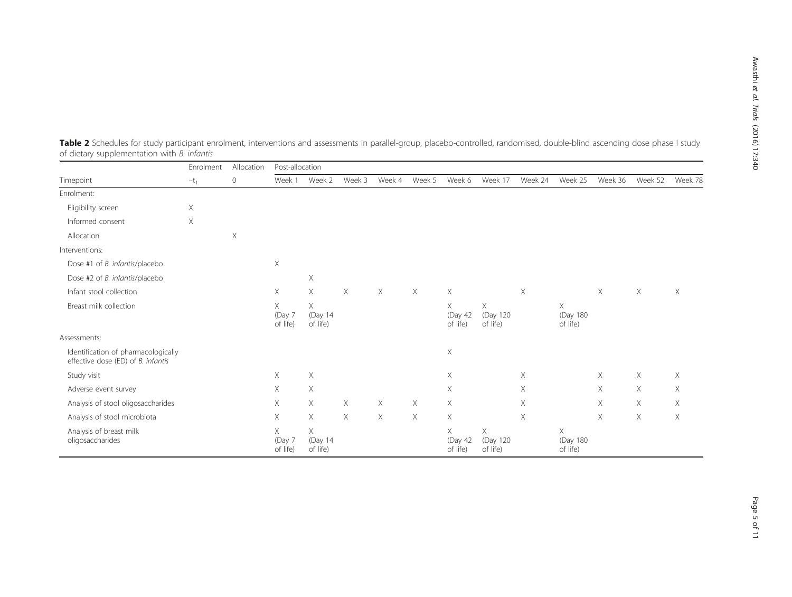| Timepoint                                                                 | Enrolment<br>$-t_1$ | Allocation<br>0 | Post-allocation                |                          |          |          |          |                                 |                           |         |                                  |          |             |          |  |
|---------------------------------------------------------------------------|---------------------|-----------------|--------------------------------|--------------------------|----------|----------|----------|---------------------------------|---------------------------|---------|----------------------------------|----------|-------------|----------|--|
|                                                                           |                     |                 | Week 1                         | Week 2                   | Week 3   | Week 4   | Week 5   | Week 6                          | Week 17                   | Week 24 | Week 25                          | Week 36  | Week 52     | Week 78  |  |
| Enrolment:                                                                |                     |                 |                                |                          |          |          |          |                                 |                           |         |                                  |          |             |          |  |
| Eligibility screen                                                        | X                   |                 |                                |                          |          |          |          |                                 |                           |         |                                  |          |             |          |  |
| Informed consent                                                          | $\times$            |                 |                                |                          |          |          |          |                                 |                           |         |                                  |          |             |          |  |
| Allocation                                                                |                     | $\mathsf X$     |                                |                          |          |          |          |                                 |                           |         |                                  |          |             |          |  |
| Interventions:                                                            |                     |                 |                                |                          |          |          |          |                                 |                           |         |                                  |          |             |          |  |
| Dose #1 of <i>B. infantis</i> /placebo                                    |                     |                 | $\times$                       |                          |          |          |          |                                 |                           |         |                                  |          |             |          |  |
| Dose #2 of <i>B. infantis/placebo</i>                                     |                     |                 |                                | X                        |          |          |          |                                 |                           |         |                                  |          |             |          |  |
| Infant stool collection                                                   |                     |                 | $\times$                       | $\times$                 | $\times$ | $\times$ | $\times$ | X                               |                           | X       |                                  | X        | $\times$    | $\times$ |  |
| Breast milk collection                                                    |                     |                 | X<br>(Day 7<br>of life)        | X<br>(Day 14<br>of life) |          |          |          | $\times$<br>(Day 42<br>of life) | Χ<br>(Day 120<br>of life) |         | X<br>(Day 180<br>of life)        |          |             |          |  |
| Assessments:                                                              |                     |                 |                                |                          |          |          |          |                                 |                           |         |                                  |          |             |          |  |
| Identification of pharmacologically<br>effective dose (ED) of B. infantis |                     |                 |                                |                          |          |          |          | X                               |                           |         |                                  |          |             |          |  |
| Study visit                                                               |                     |                 | $\times$                       | $\times$                 |          |          |          | $\times$                        |                           | Χ       |                                  | X        | X           | X        |  |
| Adverse event survey                                                      |                     |                 | $\times$                       | X                        |          |          |          | $\mathsf X$                     |                           | X       |                                  | X        | $\mathsf X$ | X        |  |
| Analysis of stool oligosaccharides                                        |                     |                 | X                              | X                        | X        | X        | X        | X                               |                           | Χ       |                                  | X.       | X           | X        |  |
| Analysis of stool microbiota                                              |                     |                 | $\times$                       | $\times$                 | $\times$ | $\times$ | $\times$ | $\times$                        |                           | X       |                                  | $\times$ | $\times$    | $\times$ |  |
| Analysis of breast milk<br>oligosaccharides                               |                     |                 | $\times$<br>(Day 7<br>of life) | X<br>(Day 14<br>of life) |          |          |          | X<br>(Day 42<br>of life)        | Χ<br>(Day 120<br>of life) |         | $\times$<br>(Day 180<br>of life) |          |             |          |  |

<span id="page-4-0"></span>Table 2 Schedules for study participant enrolment, interventions and assessments in parallel-group, placebo-controlled, randomised, double-blind ascending dose phase I study of dietary supplementation with B. infantis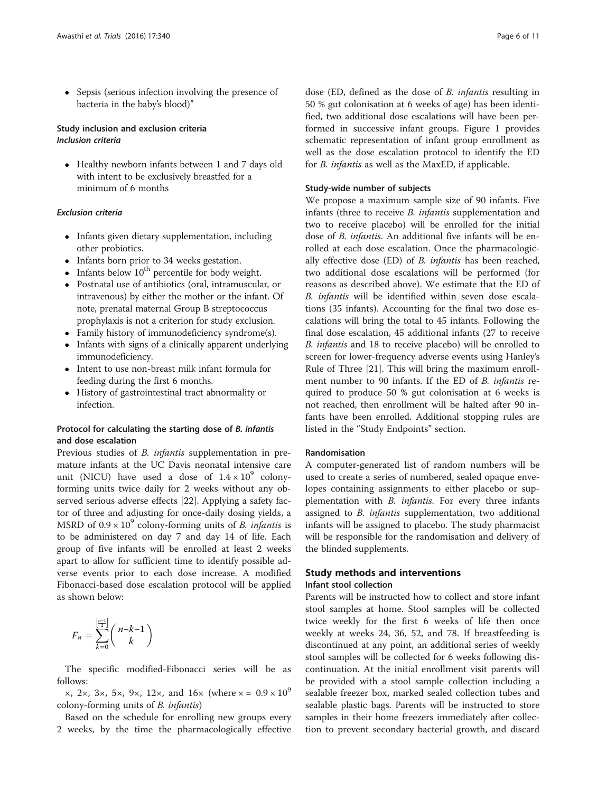• Sepsis (serious infection involving the presence of bacteria in the baby's blood)"

## Study inclusion and exclusion criteria Inclusion criteria

 Healthy newborn infants between 1 and 7 days old with intent to be exclusively breastfed for a minimum of 6 months

#### Exclusion criteria

- Infants given dietary supplementation, including other probiotics.
- Infants born prior to 34 weeks gestation.
- Infants below  $10^{th}$  percentile for body weight.
- Postnatal use of antibiotics (oral, intramuscular, or intravenous) by either the mother or the infant. Of note, prenatal maternal Group B streptococcus prophylaxis is not a criterion for study exclusion.
- Family history of immunodeficiency syndrome(s).
- Infants with signs of a clinically apparent underlying immunodeficiency.
- Intent to use non-breast milk infant formula for feeding during the first 6 months.
- History of gastrointestinal tract abnormality or infection.

## Protocol for calculating the starting dose of B. infantis and dose escalation

Previous studies of B. infantis supplementation in premature infants at the UC Davis neonatal intensive care unit (NICU) have used a dose of  $1.4 \times 10^9$  colonyforming units twice daily for 2 weeks without any observed serious adverse effects [\[22](#page-10-0)]. Applying a safety factor of three and adjusting for once-daily dosing yields, a MSRD of  $0.9 \times 10^9$  colony-forming units of *B. infantis* is to be administered on day 7 and day 14 of life. Each group of five infants will be enrolled at least 2 weeks apart to allow for sufficient time to identify possible adverse events prior to each dose increase. A modified Fibonacci-based dose escalation protocol will be applied as shown below:

$$
F_n = \sum_{k=0}^{\left[\frac{n-1}{2}\right]} \binom{n-k-1}{k}
$$

The specific modified-Fibonacci series will be as follows:

 $x, 2x, 3x, 5x, 9x, 12x, and 16x (where  $x = 0.9 \times 10^9$ )$ colony-forming units of B. infantis)

Based on the schedule for enrolling new groups every 2 weeks, by the time the pharmacologically effective

dose (ED, defined as the dose of B. infantis resulting in 50 % gut colonisation at 6 weeks of age) has been identified, two additional dose escalations will have been performed in successive infant groups. Figure [1](#page-2-0) provides schematic representation of infant group enrollment as well as the dose escalation protocol to identify the ED for B. infantis as well as the MaxED, if applicable.

## Study-wide number of subjects

We propose a maximum sample size of 90 infants. Five infants (three to receive B. infantis supplementation and two to receive placebo) will be enrolled for the initial dose of B. infantis. An additional five infants will be enrolled at each dose escalation. Once the pharmacologically effective dose (ED) of B. infantis has been reached, two additional dose escalations will be performed (for reasons as described above). We estimate that the ED of B. infantis will be identified within seven dose escalations (35 infants). Accounting for the final two dose escalations will bring the total to 45 infants. Following the final dose escalation, 45 additional infants (27 to receive B. infantis and 18 to receive placebo) will be enrolled to screen for lower-frequency adverse events using Hanley's Rule of Three [\[21\]](#page-10-0). This will bring the maximum enrollment number to 90 infants. If the ED of B. infantis required to produce 50 % gut colonisation at 6 weeks is not reached, then enrollment will be halted after 90 infants have been enrolled. Additional stopping rules are listed in the "Study Endpoints" section.

#### Randomisation

A computer-generated list of random numbers will be used to create a series of numbered, sealed opaque envelopes containing assignments to either placebo or supplementation with *B. infantis*. For every three infants assigned to B. infantis supplementation, two additional infants will be assigned to placebo. The study pharmacist will be responsible for the randomisation and delivery of the blinded supplements.

## Study methods and interventions

## Infant stool collection

Parents will be instructed how to collect and store infant stool samples at home. Stool samples will be collected twice weekly for the first 6 weeks of life then once weekly at weeks 24, 36, 52, and 78. If breastfeeding is discontinued at any point, an additional series of weekly stool samples will be collected for 6 weeks following discontinuation. At the initial enrollment visit parents will be provided with a stool sample collection including a sealable freezer box, marked sealed collection tubes and sealable plastic bags. Parents will be instructed to store samples in their home freezers immediately after collection to prevent secondary bacterial growth, and discard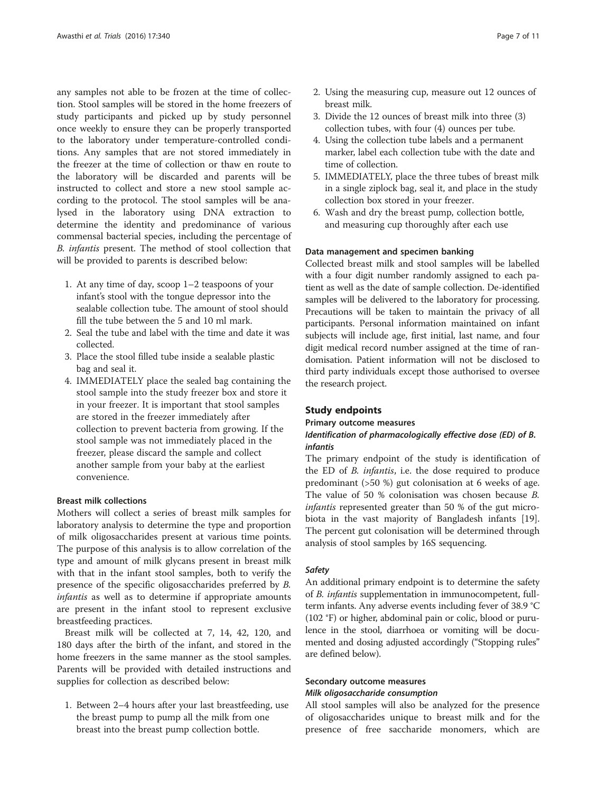any samples not able to be frozen at the time of collection. Stool samples will be stored in the home freezers of study participants and picked up by study personnel once weekly to ensure they can be properly transported to the laboratory under temperature-controlled conditions. Any samples that are not stored immediately in the freezer at the time of collection or thaw en route to the laboratory will be discarded and parents will be instructed to collect and store a new stool sample according to the protocol. The stool samples will be analysed in the laboratory using DNA extraction to determine the identity and predominance of various commensal bacterial species, including the percentage of B. infantis present. The method of stool collection that will be provided to parents is described below:

- 1. At any time of day, scoop 1–2 teaspoons of your infant's stool with the tongue depressor into the sealable collection tube. The amount of stool should fill the tube between the 5 and 10 ml mark.
- 2. Seal the tube and label with the time and date it was collected.
- 3. Place the stool filled tube inside a sealable plastic bag and seal it.
- 4. IMMEDIATELY place the sealed bag containing the stool sample into the study freezer box and store it in your freezer. It is important that stool samples are stored in the freezer immediately after collection to prevent bacteria from growing. If the stool sample was not immediately placed in the freezer, please discard the sample and collect another sample from your baby at the earliest convenience.

#### Breast milk collections

Mothers will collect a series of breast milk samples for laboratory analysis to determine the type and proportion of milk oligosaccharides present at various time points. The purpose of this analysis is to allow correlation of the type and amount of milk glycans present in breast milk with that in the infant stool samples, both to verify the presence of the specific oligosaccharides preferred by B. infantis as well as to determine if appropriate amounts are present in the infant stool to represent exclusive breastfeeding practices.

Breast milk will be collected at 7, 14, 42, 120, and 180 days after the birth of the infant, and stored in the home freezers in the same manner as the stool samples. Parents will be provided with detailed instructions and supplies for collection as described below:

1. Between 2–4 hours after your last breastfeeding, use the breast pump to pump all the milk from one breast into the breast pump collection bottle.

- 2. Using the measuring cup, measure out 12 ounces of breast milk.
- 3. Divide the 12 ounces of breast milk into three (3) collection tubes, with four (4) ounces per tube.
- 4. Using the collection tube labels and a permanent marker, label each collection tube with the date and time of collection.
- 5. IMMEDIATELY, place the three tubes of breast milk in a single ziplock bag, seal it, and place in the study collection box stored in your freezer.
- 6. Wash and dry the breast pump, collection bottle, and measuring cup thoroughly after each use

## Data management and specimen banking

Collected breast milk and stool samples will be labelled with a four digit number randomly assigned to each patient as well as the date of sample collection. De-identified samples will be delivered to the laboratory for processing. Precautions will be taken to maintain the privacy of all participants. Personal information maintained on infant subjects will include age, first initial, last name, and four digit medical record number assigned at the time of randomisation. Patient information will not be disclosed to third party individuals except those authorised to oversee the research project.

#### Study endpoints

Primary outcome measures

#### Identification of pharmacologically effective dose (ED) of B. infantis

The primary endpoint of the study is identification of the ED of B. infantis, i.e. the dose required to produce predominant (>50 %) gut colonisation at 6 weeks of age. The value of 50 % colonisation was chosen because B. infantis represented greater than 50 % of the gut microbiota in the vast majority of Bangladesh infants [\[19](#page-10-0)]. The percent gut colonisation will be determined through analysis of stool samples by 16S sequencing.

#### Safety

An additional primary endpoint is to determine the safety of B. infantis supplementation in immunocompetent, fullterm infants. Any adverse events including fever of 38.9 °C (102 °F) or higher, abdominal pain or colic, blood or purulence in the stool, diarrhoea or vomiting will be documented and dosing adjusted accordingly ("Stopping rules" are defined below).

## Secondary outcome measures Milk oligosaccharide consumption

All stool samples will also be analyzed for the presence of oligosaccharides unique to breast milk and for the presence of free saccharide monomers, which are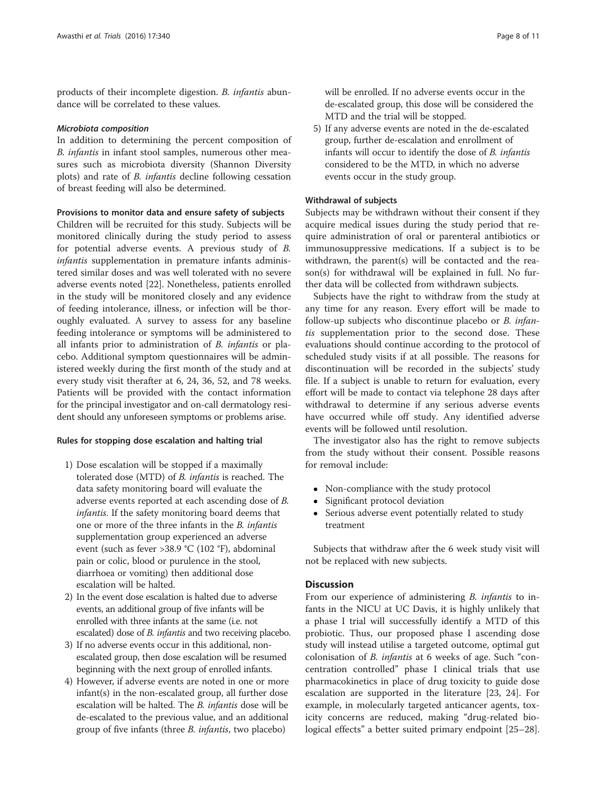products of their incomplete digestion. B. infantis abundance will be correlated to these values.

#### Microbiota composition

In addition to determining the percent composition of B. infantis in infant stool samples, numerous other measures such as microbiota diversity (Shannon Diversity plots) and rate of B. infantis decline following cessation of breast feeding will also be determined.

#### Provisions to monitor data and ensure safety of subjects

Children will be recruited for this study. Subjects will be monitored clinically during the study period to assess for potential adverse events. A previous study of B. infantis supplementation in premature infants administered similar doses and was well tolerated with no severe adverse events noted [[22](#page-10-0)]. Nonetheless, patients enrolled in the study will be monitored closely and any evidence of feeding intolerance, illness, or infection will be thoroughly evaluated. A survey to assess for any baseline feeding intolerance or symptoms will be administered to all infants prior to administration of B. infantis or placebo. Additional symptom questionnaires will be administered weekly during the first month of the study and at every study visit therafter at 6, 24, 36, 52, and 78 weeks. Patients will be provided with the contact information for the principal investigator and on-call dermatology resident should any unforeseen symptoms or problems arise.

#### Rules for stopping dose escalation and halting trial

- 1) Dose escalation will be stopped if a maximally tolerated dose (MTD) of B. infantis is reached. The data safety monitoring board will evaluate the adverse events reported at each ascending dose of B. infantis. If the safety monitoring board deems that one or more of the three infants in the B. infantis supplementation group experienced an adverse event (such as fever >38.9 °C (102 °F), abdominal pain or colic, blood or purulence in the stool, diarrhoea or vomiting) then additional dose escalation will be halted.
- 2) In the event dose escalation is halted due to adverse events, an additional group of five infants will be enrolled with three infants at the same (i.e. not escalated) dose of B. infantis and two receiving placebo.
- 3) If no adverse events occur in this additional, nonescalated group, then dose escalation will be resumed beginning with the next group of enrolled infants.
- 4) However, if adverse events are noted in one or more infant(s) in the non-escalated group, all further dose escalation will be halted. The B. infantis dose will be de-escalated to the previous value, and an additional group of five infants (three B. infantis, two placebo)

will be enrolled. If no adverse events occur in the de-escalated group, this dose will be considered the MTD and the trial will be stopped.

5) If any adverse events are noted in the de-escalated group, further de-escalation and enrollment of infants will occur to identify the dose of B. infantis considered to be the MTD, in which no adverse events occur in the study group.

#### Withdrawal of subjects

Subjects may be withdrawn without their consent if they acquire medical issues during the study period that require administration of oral or parenteral antibiotics or immunosuppressive medications. If a subject is to be withdrawn, the parent(s) will be contacted and the reason(s) for withdrawal will be explained in full. No further data will be collected from withdrawn subjects.

Subjects have the right to withdraw from the study at any time for any reason. Every effort will be made to follow-up subjects who discontinue placebo or *B. infan*tis supplementation prior to the second dose. These evaluations should continue according to the protocol of scheduled study visits if at all possible. The reasons for discontinuation will be recorded in the subjects' study file. If a subject is unable to return for evaluation, every effort will be made to contact via telephone 28 days after withdrawal to determine if any serious adverse events have occurred while off study. Any identified adverse events will be followed until resolution.

The investigator also has the right to remove subjects from the study without their consent. Possible reasons for removal include:

- Non-compliance with the study protocol<br>• Significant protocol deviation
- Significant protocol deviation
- Serious adverse event potentially related to study treatment

Subjects that withdraw after the 6 week study visit will not be replaced with new subjects.

## **Discussion**

From our experience of administering B. infantis to infants in the NICU at UC Davis, it is highly unlikely that a phase I trial will successfully identify a MTD of this probiotic. Thus, our proposed phase I ascending dose study will instead utilise a targeted outcome, optimal gut colonisation of B. infantis at 6 weeks of age. Such "concentration controlled" phase I clinical trials that use pharmacokinetics in place of drug toxicity to guide dose escalation are supported in the literature [\[23, 24\]](#page-10-0). For example, in molecularly targeted anticancer agents, toxicity concerns are reduced, making "drug-related biological effects" a better suited primary endpoint [[25](#page-10-0)–[28](#page-10-0)].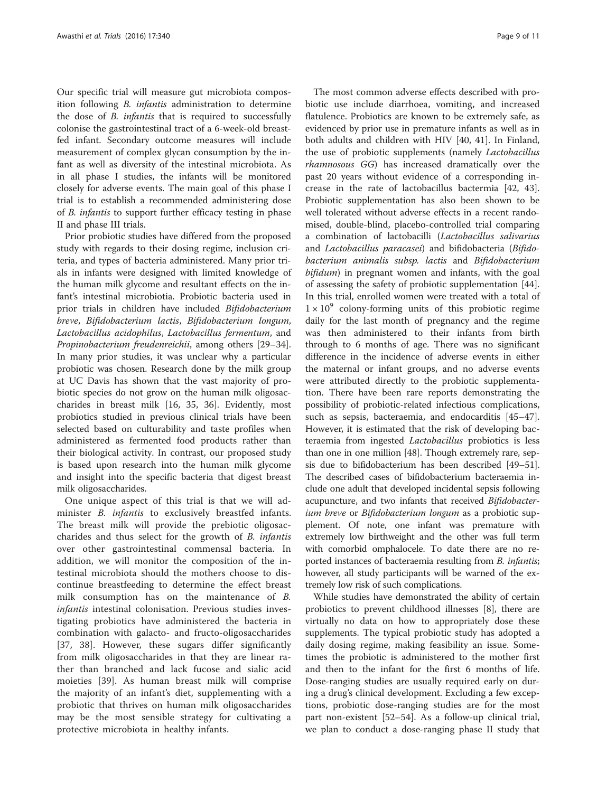Our specific trial will measure gut microbiota composition following B. infantis administration to determine the dose of B. infantis that is required to successfully colonise the gastrointestinal tract of a 6-week-old breastfed infant. Secondary outcome measures will include measurement of complex glycan consumption by the infant as well as diversity of the intestinal microbiota. As in all phase I studies, the infants will be monitored closely for adverse events. The main goal of this phase I trial is to establish a recommended administering dose of B. infantis to support further efficacy testing in phase II and phase III trials.

Prior probiotic studies have differed from the proposed study with regards to their dosing regime, inclusion criteria, and types of bacteria administered. Many prior trials in infants were designed with limited knowledge of the human milk glycome and resultant effects on the infant's intestinal microbiotia. Probiotic bacteria used in prior trials in children have included Bifidobacterium breve, Bifidobacterium lactis, Bifidobacterium longum, Lactobacillus acidophilus, Lactobacillus fermentum, and Propinobacterium freudenreichii, among others [[29](#page-10-0)–[34](#page-10-0)]. In many prior studies, it was unclear why a particular probiotic was chosen. Research done by the milk group at UC Davis has shown that the vast majority of probiotic species do not grow on the human milk oligosaccharides in breast milk [[16, 35, 36\]](#page-10-0). Evidently, most probiotics studied in previous clinical trials have been selected based on culturability and taste profiles when administered as fermented food products rather than their biological activity. In contrast, our proposed study is based upon research into the human milk glycome and insight into the specific bacteria that digest breast milk oligosaccharides.

One unique aspect of this trial is that we will administer B. infantis to exclusively breastfed infants. The breast milk will provide the prebiotic oligosaccharides and thus select for the growth of B. infantis over other gastrointestinal commensal bacteria. In addition, we will monitor the composition of the intestinal microbiota should the mothers choose to discontinue breastfeeding to determine the effect breast milk consumption has on the maintenance of B. infantis intestinal colonisation. Previous studies investigating probiotics have administered the bacteria in combination with galacto- and fructo-oligosaccharides [[37, 38\]](#page-10-0). However, these sugars differ significantly from milk oligosaccharides in that they are linear rather than branched and lack fucose and sialic acid moieties [\[39](#page-10-0)]. As human breast milk will comprise the majority of an infant's diet, supplementing with a probiotic that thrives on human milk oligosaccharides may be the most sensible strategy for cultivating a protective microbiota in healthy infants.

The most common adverse effects described with probiotic use include diarrhoea, vomiting, and increased flatulence. Probiotics are known to be extremely safe, as evidenced by prior use in premature infants as well as in both adults and children with HIV [\[40](#page-10-0), [41](#page-10-0)]. In Finland, the use of probiotic supplements (namely Lactobacillus rhamnosous GG) has increased dramatically over the past 20 years without evidence of a corresponding increase in the rate of lactobacillus bactermia [\[42, 43](#page-10-0)]. Probiotic supplementation has also been shown to be well tolerated without adverse effects in a recent randomised, double-blind, placebo-controlled trial comparing a combination of lactobacilli (Lactobacillus salivarius and Lactobacillus paracasei) and bifidobacteria (Bifidobacterium animalis subsp. lactis and Bifidobacterium bifidum) in pregnant women and infants, with the goal of assessing the safety of probiotic supplementation [\[44](#page-10-0)]. In this trial, enrolled women were treated with a total of  $1 \times 10^9$  colony-forming units of this probiotic regime daily for the last month of pregnancy and the regime was then administered to their infants from birth through to 6 months of age. There was no significant difference in the incidence of adverse events in either the maternal or infant groups, and no adverse events were attributed directly to the probiotic supplementation. There have been rare reports demonstrating the possibility of probiotic-related infectious complications, such as sepsis, bacteraemia, and endocarditis [[45](#page-10-0)–[47](#page-10-0)]. However, it is estimated that the risk of developing bacteraemia from ingested Lactobacillus probiotics is less than one in one million [\[48\]](#page-10-0). Though extremely rare, sepsis due to bifidobacterium has been described [\[49](#page-10-0)–[51](#page-10-0)]. The described cases of bifidobacterium bacteraemia include one adult that developed incidental sepsis following acupuncture, and two infants that received Bifidobacterium breve or Bifidobacterium longum as a probiotic supplement. Of note, one infant was premature with extremely low birthweight and the other was full term with comorbid omphalocele. To date there are no reported instances of bacteraemia resulting from *B. infantis*; however, all study participants will be warned of the extremely low risk of such complications.

While studies have demonstrated the ability of certain probiotics to prevent childhood illnesses [\[8](#page-9-0)], there are virtually no data on how to appropriately dose these supplements. The typical probiotic study has adopted a daily dosing regime, making feasibility an issue. Sometimes the probiotic is administered to the mother first and then to the infant for the first 6 months of life. Dose-ranging studies are usually required early on during a drug's clinical development. Excluding a few exceptions, probiotic dose-ranging studies are for the most part non-existent [\[52](#page-10-0)–[54\]](#page-10-0). As a follow-up clinical trial, we plan to conduct a dose-ranging phase II study that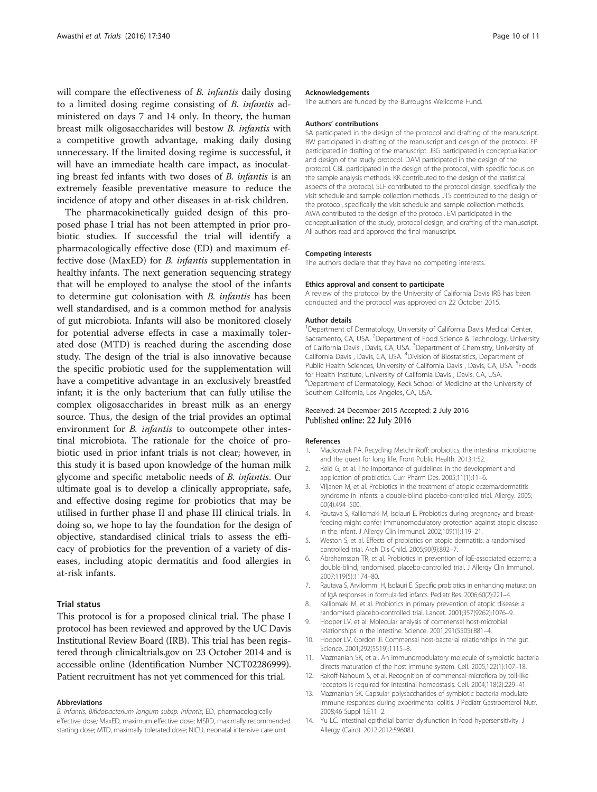<span id="page-9-0"></span>will compare the effectiveness of *B. infantis* daily dosing to a limited dosing regime consisting of B. infantis administered on days 7 and 14 only. In theory, the human breast milk oligosaccharides will bestow B. infantis with a competitive growth advantage, making daily dosing unnecessary. If the limited dosing regime is successful, it will have an immediate health care impact, as inoculating breast fed infants with two doses of B. infantis is an extremely feasible preventative measure to reduce the incidence of atopy and other diseases in at-risk children.

The pharmacokinetically guided design of this proposed phase I trial has not been attempted in prior probiotic studies. If successful the trial will identify a pharmacologically effective dose (ED) and maximum effective dose (MaxED) for B. infantis supplementation in healthy infants. The next generation sequencing strategy that will be employed to analyse the stool of the infants to determine gut colonisation with B. infantis has been well standardised, and is a common method for analysis of gut microbiota. Infants will also be monitored closely for potential adverse effects in case a maximally tolerated dose (MTD) is reached during the ascending dose study. The design of the trial is also innovative because the specific probiotic used for the supplementation will have a competitive advantage in an exclusively breastfed infant; it is the only bacterium that can fully utilise the complex oligosaccharides in breast milk as an energy source. Thus, the design of the trial provides an optimal environment for *B. infantis* to outcompete other intestinal microbiota. The rationale for the choice of probiotic used in prior infant trials is not clear; however, in this study it is based upon knowledge of the human milk glycome and specific metabolic needs of B. infantis. Our ultimate goal is to develop a clinically appropriate, safe, and effective dosing regime for probiotics that may be utilised in further phase II and phase III clinical trials. In doing so, we hope to lay the foundation for the design of objective, standardised clinical trials to assess the efficacy of probiotics for the prevention of a variety of diseases, including atopic dermatitis and food allergies in at-risk infants.

#### Trial status

This protocol is for a proposed clinical trial. The phase I protocol has been reviewed and approved by the UC Davis Institutional Review Board (IRB). This trial has been registered through clinicaltrials.gov on 23 October 2014 and is accessible online (Identification Number NCT02286999). Patient recruitment has not yet commenced for this trial.

#### Abbreviations

B. infantis, Bifidobacterium longum subsp. infantis; ED, pharmacologically effective dose; MaxED, maximum effective dose; MSRD, maximally recommended starting dose; MTD, maximally tolerated dose; NICU, neonatal intensive care unit

#### Acknowledgements

The authors are funded by the Burroughs Wellcome Fund.

#### Authors' contributions

SA participated in the design of the protocol and drafting of the manuscript. RW participated in drafting of the manuscript and design of the protocol. FP participated in drafting of the manuscript. JBG participated in conceptualisation and design of the study protocol. DAM participated in the design of the protocol. CBL participated in the design of the protocol, with specific focus on the sample analysis methods. KK contributed to the design of the statistical aspects of the protocol. SLF contributed to the protocol design, specifically the visit schedule and sample collection methods. JTS contributed to the design of the protocol, specifically the visit schedule and sample collection methods. AWA contributed to the design of the protocol. EM participated in the conceptualisation of the study, protocol design, and drafting of the manuscript. All authors read and approved the final manuscript.

#### Competing interests

The authors declare that they have no competing interests.

#### Ethics approval and consent to participate

A review of the protocol by the University of California Davis IRB has been conducted and the protocol was approved on 22 October 2015.

#### Author details

<sup>1</sup>Department of Dermatology, University of California Davis Medical Center, Sacramento, CA, USA. <sup>2</sup>Department of Food Science & Technology, University of California Davis, Davis, CA, USA. <sup>3</sup>Department of Chemistry, University of California Davis , Davis, CA, USA. <sup>4</sup>Division of Biostatistics, Department of Public Health Sciences, University of California Davis, Davis, CA, USA. <sup>5</sup>Foods for Health Institute, University of California Davis , Davis, CA, USA. 6 Department of Dermatology, Keck School of Medicine at the University of Southern California, Los Angeles, CA, USA.

#### Received: 24 December 2015 Accepted: 2 July 2016 Published online: 22 July 2016

#### References

- 1. Mackowiak PA. Recycling Metchnikoff: probiotics, the intestinal microbiome and the quest for long life. Front Public Health. 2013;1:52.
- 2. Reid G, et al. The importance of guidelines in the development and application of probiotics. Curr Pharm Des. 2005;11(1):11–6.
- 3. Viljanen M, et al. Probiotics in the treatment of atopic eczema/dermatitis syndrome in infants: a double-blind placebo-controlled trial. Allergy. 2005; 60(4):494–500.
- 4. Rautava S, Kalliomaki M, Isolauri E. Probiotics during pregnancy and breastfeeding might confer immunomodulatory protection against atopic disease in the infant. J Allergy Clin Immunol. 2002;109(1):119–21.
- 5. Weston S, et al. Effects of probiotics on atopic dermatitis: a randomised controlled trial. Arch Dis Child. 2005;90(9):892–7.
- 6. Abrahamsson TR, et al. Probiotics in prevention of IgE-associated eczema: a double-blind, randomised, placebo-controlled trial. J Allergy Clin Immunol. 2007;119(5):1174–80.
- 7. Rautava S, Arvilommi H, Isolauri E. Specific probiotics in enhancing maturation of IgA responses in formula-fed infants. Pediatr Res. 2006;60(2):221–4.
- 8. Kalliomaki M, et al. Probiotics in primary prevention of atopic disease: a randomised placebo-controlled trial. Lancet. 2001;357(9262):1076–9.
- 9. Hooper LV, et al. Molecular analysis of commensal host-microbial relationships in the intestine. Science. 2001;291(5505):881–4.
- 10. Hooper LV, Gordon JI. Commensal host-bacterial relationships in the gut. Science. 2001;292(5519):1115–8.
- 11. Mazmanian SK, et al. An immunomodulatory molecule of symbiotic bacteria directs maturation of the host immune system. Cell. 2005;122(1):107–18.
- 12. Rakoff-Nahoum S, et al. Recognition of commensal microflora by toll-like receptors is required for intestinal homeostasis. Cell. 2004;118(2):229–41.
- 13. Mazmanian SK. Capsular polysaccharides of symbiotic bacteria modulate immune responses during experimental colitis. J Pediatr Gastroenterol Nutr. 2008;46 Suppl 1:E11–2.
- 14. Yu LC. Intestinal epithelial barrier dysfunction in food hypersensitivity. J Allergy (Cairo). 2012;2012:596081.